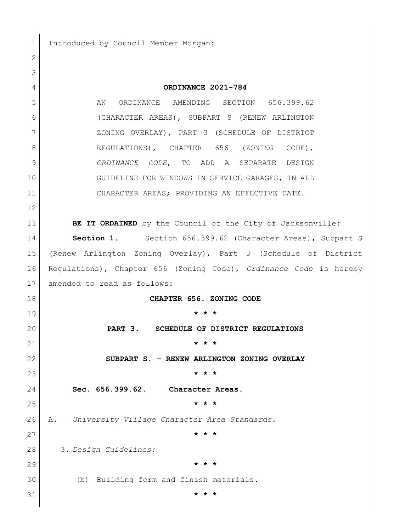Introduced by Council Member Morgan:

 **ORDINANCE 2021-784** 5 AN ORDINANCE AMENDING SECTION 656.399.62 (CHARACTER AREAS), SUBPART S (RENEW ARLINGTON ZONING OVERLAY), PART 3 (SCHEDULE OF DISTRICT 8 REGULATIONS), CHAPTER 656 (ZONING CODE), *ORDINANCE CODE*, TO ADD A SEPARATE DESIGN 10 GUIDELINE FOR WINDOWS IN SERVICE GARAGES, IN ALL CHARACTER AREAS; PROVIDING AN EFFECTIVE DATE. **BE IT ORDAINED** by the Council of the City of Jacksonville: **Section 1.** Section 656.399.62 (Character Areas), Subpart S (Renew Arlington Zoning Overlay), Part 3 (Schedule of District Regulations), Chapter 656 (Zoning Code), *Ordinance Code* is hereby amended to read as follows: **CHAPTER 656. ZONING CODE \* \* \* PART 3. SCHEDULE OF DISTRICT REGULATIONS \* \* \* SUBPART S. – RENEW ARLINGTON ZONING OVERLAY \* \* \* Sec. 656.399.62. Character Areas. \* \* \*** A. *University Village Character Area Standards.* **\* \* \*** 3. *Design Guidelines:* **\* \* \*** (b) Building form and finish materials*.* **\* \* \***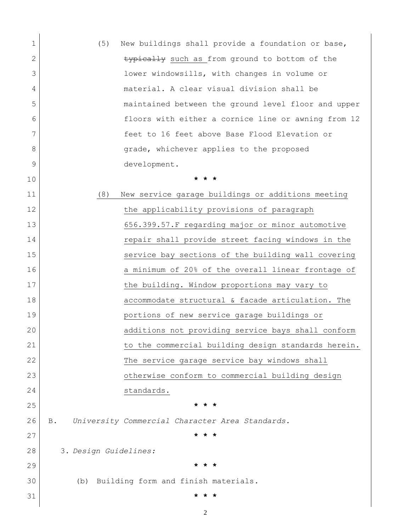| 1            | (5)<br>New buildings shall provide a foundation or base,      |
|--------------|---------------------------------------------------------------|
| $\mathbf{2}$ | typically such as from ground to bottom of the                |
| 3            | lower windowsills, with changes in volume or                  |
| 4            | material. A clear visual division shall be                    |
| 5            | maintained between the ground level floor and upper           |
| 6            | floors with either a cornice line or awning from 12           |
| 7            | feet to 16 feet above Base Flood Elevation or                 |
| 8            | grade, whichever applies to the proposed                      |
| 9            | development.                                                  |
| 10           | * * *                                                         |
| 11           | (8)<br>New service garage buildings or additions meeting      |
| 12           | the applicability provisions of paragraph                     |
| 13           | 656.399.57. F regarding major or minor automotive             |
| 14           | repair shall provide street facing windows in the             |
| 15           | service bay sections of the building wall covering            |
| 16           | a minimum of 20% of the overall linear frontage of            |
| 17           | the building. Window proportions may vary to                  |
| 18           | accommodate structural & facade articulation. The             |
| 19           | portions of new service garage buildings or                   |
| 20           | additions not providing service bays shall conform            |
| 21           | to the commercial building design standards herein.           |
| 22           | The service garage service bay windows shall                  |
| 23           | otherwise conform to commercial building design               |
| 24           | standards.                                                    |
| 25           | * * *                                                         |
| 26           | University Commercial Character Area Standards.<br><b>B</b> . |
| 27           |                                                               |
| 28           | 3. Design Guidelines:                                         |
| 29           | * * *                                                         |
| 30           | Building form and finish materials.<br>(b)                    |
| 31           |                                                               |
|              |                                                               |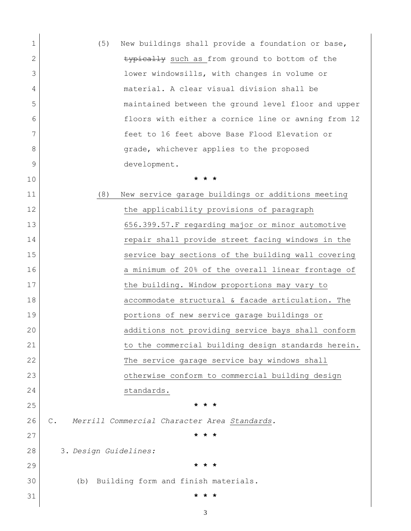| 1            | (5)<br>New buildings shall provide a foundation or base,       |
|--------------|----------------------------------------------------------------|
| $\mathbf{2}$ | typically such as from ground to bottom of the                 |
| 3            | lower windowsills, with changes in volume or                   |
| 4            | material. A clear visual division shall be                     |
| 5            | maintained between the ground level floor and upper            |
| 6            | floors with either a cornice line or awning from 12            |
| 7            | feet to 16 feet above Base Flood Elevation or                  |
| 8            | grade, whichever applies to the proposed                       |
| 9            | development.                                                   |
| 10           | * * *                                                          |
| 11           | (8)<br>New service garage buildings or additions meeting       |
| 12           | the applicability provisions of paragraph                      |
| 13           | 656.399.57.F regarding major or minor automotive               |
| 14           | repair shall provide street facing windows in the              |
| 15           | service bay sections of the building wall covering             |
| 16           | a minimum of 20% of the overall linear frontage of             |
| 17           | the building. Window proportions may vary to                   |
| 18           | accommodate structural & facade articulation. The              |
| 19           | portions of new service garage buildings or                    |
| 20           | additions not providing service bays shall conform             |
| 21           | to the commercial building design standards herein.            |
| 22           | The service garage service bay windows shall                   |
| 23           | otherwise conform to commercial building design                |
| 24           | standards.                                                     |
| 25           | * * *                                                          |
| 26           | $\mathbb{C}$ .<br>Merrill Commercial Character Area Standards. |
| 27           |                                                                |
| 28           | 3. Design Guidelines:                                          |
| 29           | $\star$<br>$\star$                                             |
| 30           | (b) Building form and finish materials.                        |
| 31           |                                                                |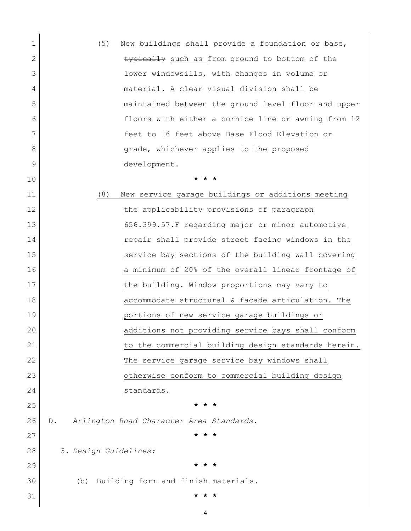| 1           | (5)<br>New buildings shall provide a foundation or base, |
|-------------|----------------------------------------------------------|
| 2           | typically such as from ground to bottom of the           |
| 3           | lower windowsills, with changes in volume or             |
| 4           | material. A clear visual division shall be               |
| 5           | maintained between the ground level floor and upper      |
| 6           | floors with either a cornice line or awning from 12      |
| 7           | feet to 16 feet above Base Flood Elevation or            |
| 8           | grade, whichever applies to the proposed                 |
| $\mathsf 9$ | development.                                             |
| 10          | * * *                                                    |
| 11          | (8)<br>New service garage buildings or additions meeting |
| 12          | the applicability provisions of paragraph                |
| 13          | 656.399.57.F regarding major or minor automotive         |
| 14          | repair shall provide street facing windows in the        |
| 15          | service bay sections of the building wall covering       |
| 16          | a minimum of 20% of the overall linear frontage of       |
| 17          | the building. Window proportions may vary to             |
| 18          | accommodate structural & facade articulation. The        |
| 19          | portions of new service garage buildings or              |
| 20          | additions not providing service bays shall conform       |
| 21          | to the commercial building design standards herein.      |
| 22          | The service garage service bay windows shall             |
| 23          | otherwise conform to commercial building design          |
| 24          | standards.                                               |
| 25          | * * *                                                    |
| 26          | Arlington Road Character Area Standards.<br>$D$ .        |
| 27          |                                                          |
| 28          | 3. Design Guidelines:                                    |
| 29          | $\star$<br>* *                                           |
| 30          | Building form and finish materials.<br>(b)               |
| 31          |                                                          |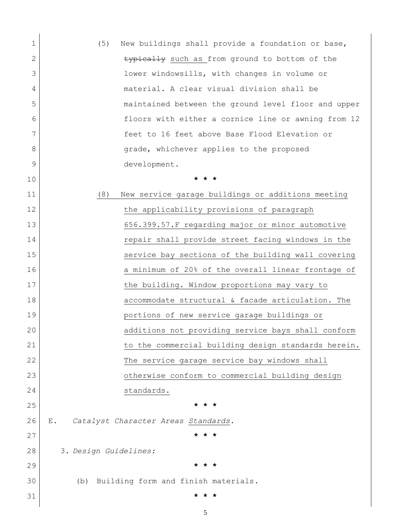| 1            | (5)<br>New buildings shall provide a foundation or base, |
|--------------|----------------------------------------------------------|
| $\mathbf{2}$ | typically such as from ground to bottom of the           |
| 3            | lower windowsills, with changes in volume or             |
| 4            | material. A clear visual division shall be               |
| 5            | maintained between the ground level floor and upper      |
| 6            | floors with either a cornice line or awning from 12      |
| 7            | feet to 16 feet above Base Flood Elevation or            |
| 8            | grade, whichever applies to the proposed                 |
| 9            | development.                                             |
| 10           | * * *                                                    |
| 11           | (8)<br>New service garage buildings or additions meeting |
| 12           | the applicability provisions of paragraph                |
| 13           | 656.399.57.F regarding major or minor automotive         |
| 14           | repair shall provide street facing windows in the        |
| 15           | service bay sections of the building wall covering       |
| 16           | a minimum of 20% of the overall linear frontage of       |
| 17           | the building. Window proportions may vary to             |
| 18           | accommodate structural & facade articulation. The        |
| 19           | portions of new service garage buildings or              |
| 20           | additions not providing service bays shall conform       |
| 21           | to the commercial building design standards herein.      |
| 22           | The service garage service bay windows shall             |
| 23           | otherwise conform to commercial building design          |
| 24           | standards.                                               |
| 25           | * * *                                                    |
| 26           | Catalyst Character Areas Standards.<br>Ε.                |
| 27           |                                                          |
| 28           | 3. Design Guidelines:                                    |
| 29           | $\star$ $\star$                                          |
| 30           | Building form and finish materials.<br>(b)               |
| 31           |                                                          |
|              |                                                          |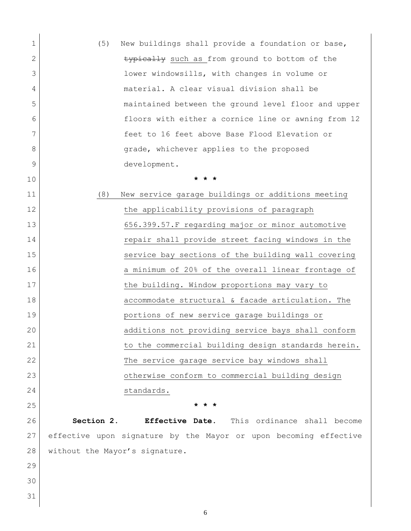| 1  | New buildings shall provide a foundation or base,<br>(5)         |
|----|------------------------------------------------------------------|
| 2  | typically such as from ground to bottom of the                   |
| 3  | lower windowsills, with changes in volume or                     |
| 4  | material. A clear visual division shall be                       |
| 5  | maintained between the ground level floor and upper              |
| 6  | floors with either a cornice line or awning from 12              |
| 7  | feet to 16 feet above Base Flood Elevation or                    |
| 8  | grade, whichever applies to the proposed                         |
| 9  | development.                                                     |
| 10 | * * *                                                            |
| 11 | (8)<br>New service garage buildings or additions meeting         |
| 12 | the applicability provisions of paragraph                        |
| 13 | 656.399.57. F regarding major or minor automotive                |
| 14 | repair shall provide street facing windows in the                |
| 15 | service bay sections of the building wall covering               |
| 16 | a minimum of 20% of the overall linear frontage of               |
| 17 | the building. Window proportions may vary to                     |
| 18 | accommodate structural & facade articulation. The                |
| 19 | portions of new service garage buildings or                      |
| 20 | additions not providing service bays shall conform               |
| 21 | to the commercial building design standards herein.              |
| 22 | The service garage service bay windows shall                     |
| 23 | otherwise conform to commercial building design                  |
| 24 | standards.                                                       |
| 25 | * * *                                                            |
| 26 | Section 2.<br>Effective Date. This ordinance shall become        |
| 27 | effective upon signature by the Mayor or upon becoming effective |
| 28 | without the Mayor's signature.                                   |
| 29 |                                                                  |
| 30 |                                                                  |
| 31 |                                                                  |
|    |                                                                  |